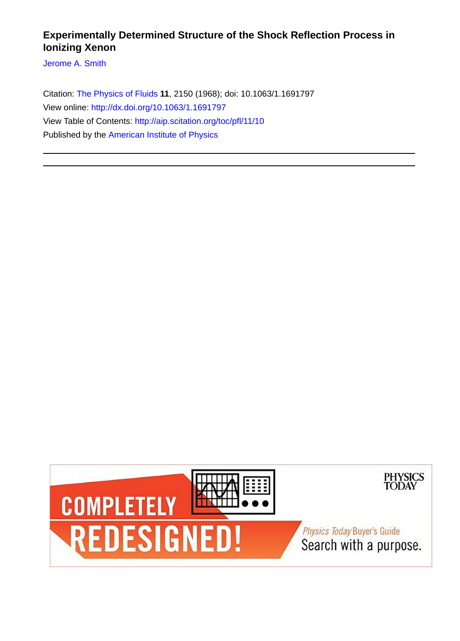# **Experimentally Determined Structure of the Shock Reflection Process in Ionizing Xenon**

[Jerome A. Smith](http://aip.scitation.org/author/Smith%2C+Jerome+A)

Citation: [The Physics of Fluids](/loi/pfl) **11**, 2150 (1968); doi: 10.1063/1.1691797 View online: <http://dx.doi.org/10.1063/1.1691797> View Table of Contents:<http://aip.scitation.org/toc/pfl/11/10> Published by the [American Institute of Physics](http://aip.scitation.org/publisher/)

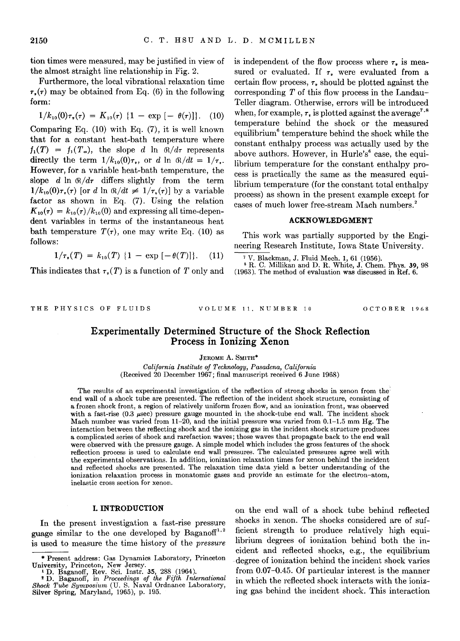tion times were measured, may be justified in view of the almost straight line relationship in Fig. 2.

Furthermore, the local vibrational relaxation time  $\tau_{\bullet}(\tau)$  may be obtained from Eq. (6) in the following form:

$$
1/k_{10}(0)\tau_*(\tau) = K_{10}(\tau) \{1 - \exp[-\theta(\tau)]\}.
$$
 (10)

Comparing Eq. (10) with Eq. (7), it is well known that for a constant heat-bath temperature where  $f_1(T) = f_1(T_\infty)$ , the slope d ln  $\mathcal{R}/d\tau$  represents directly the term  $1/k_{10}(0)\tau_r$ , or d ln  $\Re/dt = 1/\tau_r$ . However, for a variable heat-bath temperature, the slope d  $\ln \theta/d\tau$  differs slightly from the term  $1/k_{10}(0)\tau_{\nu}(\tau)$  [or d ln  $\mathbb{R}/dt \neq 1/\tau_{\nu}(\tau)$ ] by a variable factor as shown in Eq. (7). Using the relation  $K_{10}(\tau) = k_{10}(\tau)/k_{10}(0)$  and expressing all time-dependent variables in terms of the instantaneous heat bath temperature  $T(\tau)$ , one may write Eq. (10) as follows:

$$
1/\tau_{\ast}(T) = k_{10}(T) \{1 - \exp[-\theta(T)]\}. \quad (11)
$$

This indicates that  $\tau_r(T)$  is a function of T only and

is independent of the flow process where  $\tau$ , is measured or evaluated. If  $\tau$ , were evaluated from a certain flow process,  $\tau$ , should be plotted against the corresponding *T* of this flow process in the Landau-Teller diagram. Otherwise, errors will be introduced when, for example,  $\tau$ , is plotted against the average<sup>7,8</sup> temperature behind the shock or the measured equilibrium<sup>6</sup> temperature behind the shock while the constant enthalpy process was actually used by the above authors. However, in Hurle's<sup>6</sup> case, the equilibrium temperature for the constant enthalpy process is practically the same as the measured equilibrium temperature (for the constant total enthalpy process) as shown in the present example except for cases of much lower free-stream Mach numbers.<sup>2</sup>

# **ACKNOWLEDGMENT**

This work was partially supported by the Engineering Research Institute, Iowa State University.

7 V. Blackman, J. Fluid Mech. 1, 61 (1956). 8 R. C. Millikan and D. R. White, J. Chem. Phys. 39, 98 (1963). The method of evaluation was discussed in Ref. 6.

THE PHYSICS OF FLUIDS VOLUME II. NUMBER 10 OCTOBER 1968

# **Experimentally Determined Structure of the Shock Reflection Process in Ionizing Xenon**

JEROME A. SMITH\*

*California Institute of Technology, Pasadena, California*  (Received 20 December 1967; final manuscript received 6 June 1968)

The results of an experimental investigation of the reflection of strong shocks in xenon from the: end wall of a shock tube are presented. The reflection of the incident shock structure, consisting of a frozen shock front, a region of relatively uniform frozen flow, and an ionization front, was observed with a fast-rise  $(0.3 \mu \text{sec})$  pressure gauge mounted in the shock-tube end wall. The incident shock Mach number was varied from 11-20, and the initial pressure was varied from 0.1-1.5 mm Hg. The interaction between the reflecting shock and the ionizing gas in the incident shock structure produces a complicated series of shock and rarefaction waves; those waves that propagate back to the end wall were observed with the pressure gauge. A simple model which includes the gross features of the shock reflection process is used to calculate end wall pressures. The calculated pressures agree well with the experimental observations. In addition, ionization relaxation times for xenon behind the incident and reflected shocks are presented. The relaxation time data yield a better understanding of the ionization relaxation process in monatomic gases and provide an estimate for the electron-atom, inelastic cross section for xenon.

# **I. INTRODUCTION**

In the present investigation a fast-rise pressure guage similar to the one developed by Baganoff<sup>1,2</sup> is used to measure the time history of the *pressure*  on the end wall of a shock tube behind reflected shocks in xenon. The shocks considered are of sufficient strength to produce relatively high equilibrium degrees of ionization behind both the incident and reflected shocks, e.g., the equilibrium degree of ionization behind the incident shock varies from 0.07-0.45. Of particular interest is the manner in which the reflected shock interacts with the ionizing gas behind the incident shock. This interaction

<sup>\*</sup>Present address: Gas Dynamics Laboratory, Princeton University, Princeton, New Jersey.<br><sup>1</sup> D. Baganoff, Rev. Sci. Instr. 35, 288 (1964).

<sup>&</sup>lt;sup>2</sup> D. Baganoff, hev. Sci. 11861. 35, 200 (1304).<br><sup>2</sup> D. Baganoff, in *Proceedings of the Fifth International* Shock Tube Symposium (U. S. Naval Ordnance Laboratory, Silver Spring, Maryland, 1965), p. 195.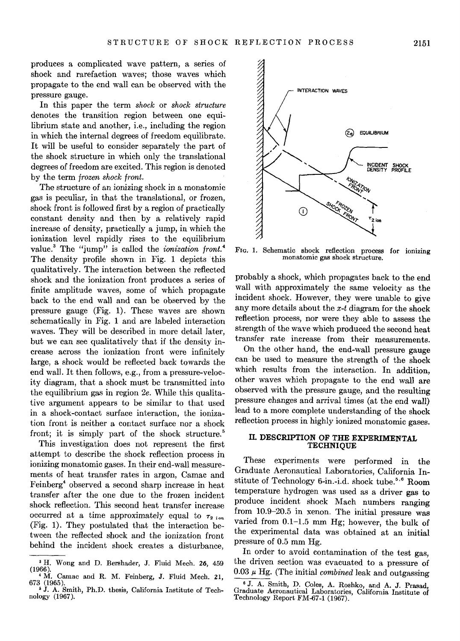produces a complicated wave pattern, a series of shock and rarefaction waves; those waves which propagate to the end wall can be observed with the pressure gauge.

In this paper the term *shock* or *shock structure*  denotes the transition region between one equilibrium state and another, i.e., including the region in which the internal degrees of freedom equilibrate. It will be useful to consider separately the part of the shock structure in which only the translational degrees of freedom are excited. This region is denoted by the term *frozen shock front.* 

The structure of an ionizing shock in a monatomic gas is peculiar, in that the translational, or frozen, shock front is followed first by a region of practically constant density and then by a relatively rapid increase of density, practically a jump, in which the ionization level rapidly rises to the equilibrium value.<sup>3</sup> The "jump" is called the *ionization* front.<sup>4</sup> The density profile shown in Fig. 1 depicts this qualitatively. The interaction between the reflected shock and the ionization front produces a series of finite amplitude waves, some of which propagate back to the end wall and can be observed by the pressure gauge (Fig. 1). These waves are shown schematically in Fig. 1 and are labeled interaction waves. They will be described in more detail later, but we can see qualitatively that if the density increase across the ionization front were infinitely large, a shock would be reflected back towards the end wall. It then follows, e.g., from a pressure-velocity diagram, that a shock must be transmitted into the equilibrium gas in region *2e.* While this qualitative argument appears to be similar to that used in a shock-contact surface interaction, the ionization front is neither a contact surface nor a shock front; it is simply part of the shock structure.<sup>5</sup>

This investigation does not represent the first attempt to describe the shock reflection process in ionizing monatomic gases. In their end-wall measurements of heat transfer rates in argon, Camac and Feinberg<sup>4</sup> observed a second sharp increase in heat transfer after the one due to the frozen incident shock reflection. This second heat transfer increase occurred at a time approximately equal to  $\tau_{2, \text{ion}}$ (Fig. 1). They postulated that the interaction between the reflected shock and the ionization front behind the incident shock creates a disturbance.



FIG. 1. Schematic shock reflection process for ionizing monatomic gas shock structure.

probably a shock, which propagates back to the end wall with approximately the same velocity as the incident shock. However, they were unable to give any more details about the  $x-t$  diagram for the shock reflection process, nor were they able to assess the strength of the wave which produced the second heat transfer rate increase from their measurements.

On the other hand, the end-wall pressure gauge can be used to measure the strength of the shock which results from the interaction. In addition, other waves which propagate to the end wall are observed with the pressure gauge, and the resulting pressure changes and arrival times (at the end wall) lead to a more complete understanding of the shock reflection process in highly ionized monatomic gases.

# II. **DESCRIPTION OF THE EXPERIMENTAL TECHNIQUE**

These experiments were performed in the Graduate Aeronautical Laboratories, California Institute of Technology 6-in.-i.d. shock tube.<sup>5,6</sup> Room temperature hydrogen was used as a driver gas to produce incident shock Mach numbers ranging from 10.9-20.5 in xenon. The initial pressure was varied from 0.1-1.5 mm Hg; however, the bulk of the experimental data was obtained at an initial pressure of 0.5 mm Hg.

In order to avoid contamination of the test gas the driven section was evacuated to a pressure of 0.03 *µ* Hg. (The initial *combined* leak and outgassing

<sup>&</sup>lt;sup>3</sup> H. Wong and D. Bershader, J. Fluid Mech. 26, 459 (1966).  $^4$  M. Camac and R. M. Feinberg, J. Fluid Mech. 21, 673 (1965).

<sup>•</sup> J. A. Smith, Ph.D. thesis, California Institute of Technology (1967).

<sup>6</sup> J. A. Smith, p. Coles, A. Roshko, and A. J. Prasad, Graduate Aeronautical Laboratories, California Institute of Technology Report FM-67-1 (1967).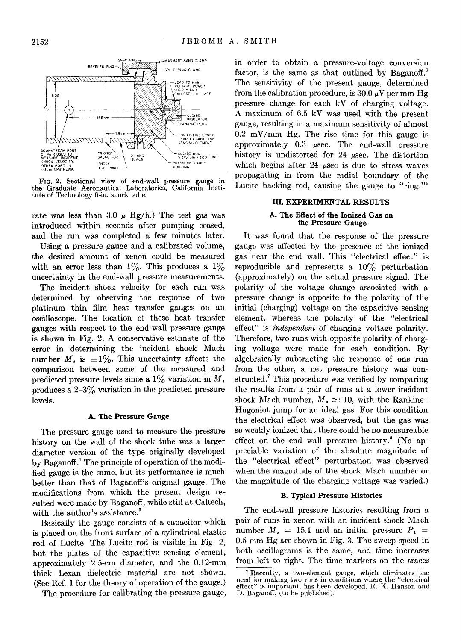

FIG. 2. Sectional view of end-wall pressure gauge in the Graduate Aeronautical Laboratories, California Institute of Technology 6-in. shock tube.

rate was less than 3.0  $\mu$  Hg/h.) The test gas was introduced within seconds after pumping ceased, and the run was completed a few minutes later.

Using a pressure gauge and a calibrated volume, the desired amount of xenon could be measured with an error less than  $1\%$ . This produces a  $1\%$ uncertainty in the end-wall pressure measurements.

The incident shock velocity for each run was determined by observing the response of two platinum thin film heat transfer gauges on an oscilloscope. The location of these heat transfer gauges with respect to the end-wall pressure gauge is shown in Fig. 2. A conservative estimate of the error in determining the incident shock Mach number  $M_{\star}$  is  $\pm 1\%$ . This uncertainty affects the comparison between some of the measured and predicted pressure levels since a  $1\%$  variation in M. produces a  $2-3\%$  variation in the predicted pressure levels.

#### A. The Pressure Gauge

The pressure gauge used to measure the pressure history on the wall of the shock tube was a larger diameter version of the type originally developed by Baganoff.1 The principle of operation of the modified gauge is the same, but its performance is much better than that of Baganoff's original gauge. The modifications from which the present design resulted were made by Baganoff, while still at Caltech, with the author's assistance.<sup>5</sup>

Basically the gauge consists of a capacitor which is placed on the front surface of a cylindrical elastic rod of Lucite. The Lucite rod is visible in Fig. 2, but the plates of the capacitive sensing element, approximately 2.5-cm diameter, and the 0.12-mm thick Lexan dielectric material are not shown. (See Ref. 1 for the theory of operation of the gauge.)

The procedure for calibrating the pressure gauge,

in order to obtain a pressure-voltage conversion factor, is the same as that outlined by Baganoff.<sup>1</sup> The sensitivity of the present gauge, determined from the calibration procedure, is  $30.0 \mu V$  per mm Hg pressure change for each kV of charging voltage. A maximum of 6.5 kV was used with the present gauge, resulting in a maximum sensitivity of almost  $0.2 \text{ mV/mm Hg}$ . The rise time for this gauge is approximately 0.3 µsec. The end-wall pressure history is undistorted for 24 µsec. The distortion which begins after 24  $\mu$ sec is due to stress waves propagating in from the radial boundary of the Lucite backing rod, causing the gauge to "ring."

# III. EXPERIMENTAL RESULTS

# A. The Effect of the Ionized Gas on the Pressure Gauge

It was found that the response of the pressure gauge was affected by the presence of the ionized gas near the end wall. This "electrical effect" is reproducible and represents a  $10\%$  perturbation (approximately) on the actual pressure signal. The polarity of the voltage change associated with a pressure change is opposite to the polarity of the initial (charging) voltage on the capacitive sensing element, whereas the polarity of the "electrical effect" is *independent* of charging voltage polarity. Therefore, two runs with opposite polarity of charging voltage were made for each condition. By algebraically subtracting the response of one run from the other, a net pressure history was constructed.<sup>7</sup> This procedure was verified by comparing the results from a pair of runs at a lower incident shock Mach number,  $M_* \simeq 10$ , with the Rankine-Hugoniot jump for an ideal gas. For this condition the electrical effect was observed, but the gas was so weakly ionized that there could be no measureable effect on the end wall pressure history.<sup>5</sup> (No appreciable variation of the absolute magnitude of the "electrical effect" perturbation was observed when the magnitude of the shock Mach number or the magnitude of the charging voltage was varied.)

## B. Typical Pressure Histories

The end-wall pressure histories resulting from a pair of runs in xenon with an incident shock Mach number  $M_{\star}$  = 15.1 and an initial pressure  $P_{1}$  = 0.5 mm Hg are shown in Fig. 3. The sweep speed in both oscillograms is the same, and time increases from left to right. The time markers on the traces

<sup>7</sup> Recently, a two-element gauge, which eliminates the need for making two runs in conditions where the "electrical effect" is important, has been developed. R. K. Hanson and D. Baganoff, (to be published).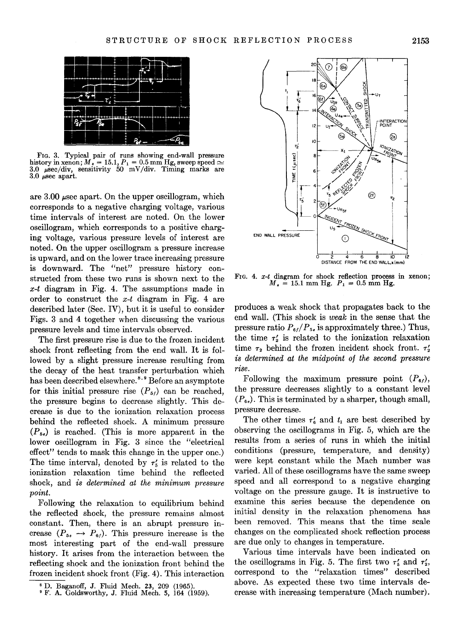

FIG. 3. Typical pair of runs showing end-wall pressure history in xenon;  $M_s = 15.1, P_1 = 0.5$  mm Hg, sweep speed  $\simeq$ 3.0  $\mu$ sec/div, sensitivity 50 mV/div. Timing marks are 3.0  $\mu$ sec apart.

are 3.00 µsec apart. On the upper oscillogram, which corresponds to a negative charging voltage, various time intervals of interest are noted. On the lower oscillogram, which corresponds to a positive charging voltage, various pressure levels of interest are noted. On the upper oscillogram a pressure increase is upward, and on the lower trace increasing pressure is downward. The "net" pressure history constructed from these two runs is shown next to the  $x-t$  diagram in Fig. 4. The assumptions made in order to construct the  $x-t$  diagram in Fig. 4 are described later (Sec. IV), but it is useful to consider Figs. 3 and 4 together when discussing the various pressure levels and time intervals observed.

The first pressure rise is due to the frozen incident shock front reflecting from the end wall. It is followed by a slight pressure increase resulting from the decay of the heat transfer perturbation which has been described elsewhere.<sup>8,9</sup> Before an asymptote for this initial pressure rise  $(P_{51})$  can be reached, the pressure begins to decrease slightly. This decrease is due to the ionization relaxation process behind the reflected shock. A minimum pressure  $(P_{5e})$  is reached. (This is more apparent in the lower oscillogram in Fig. 3 since the "electrical effect" tends to mask this change in the upper one.) The time interval, denoted by  $\tau'_{5}$  is related to the ionization relaxation time behind the reflected shock, and *is determined at the minimum pressure point.* 

Following the relaxation to equilibrium behind the reflected shock, the pressure remains almost constant. Then, there is an abrupt pressure increase  $(P_{5e} \rightarrow P_{6f})$ . This pressure increase is the most interesting part of the end-wall pressure history. It arises from the interaction between the reflecting shock and the ionization front behind the frozen incident shock front (Fig. 4). This interaction



FIG. 4.  $x-t$  diagram for shock reflection process in xenon;<br> $M_s = 15.1$  mm Hg.  $P_1 = 0.5$  mm Hg.

produces a weak shock that propagates back to the end wall. (This shock is *weak* in the sense that the pressure ratio  $P_{6f}/P_{5e}$  is approximately three.) Thus, the time  $\tau'_{2}$  is related to the ionization relaxation time  $\tau_2$  behind the frozen incident shock front.  $\tau'_2$ is *determined at the midpoint of the second pressure rise.* 

Following the maximum pressure point  $(P_{61})$ , the pressure decreases slightly to a constant level  $(P_{6e})$ . This is terminated by a sharper, though small, pressure decrease.

The other times  $\tau'_{6}$  and  $t_{1}$  are best described by observing the oscillograms in Fig. 5, which are the results from a series of runs in which the initial conditions (pressure, temperature, and density) were kept constant while the Mach number was varied. All of these oscillograms have the same sweep speed and all correspond to a negative charging voltage on the pressure gauge. It is instructive to examine this series because the dependence on initial density in the relaxation phenomena has been removed. This means that the time scale changes on the complicated shock reflection process are due only to changes in temperature.

Various time intervals have been indicated on the oscillograms in Fig. 5. The first two  $\tau'_{5}$  and  $\tau'_{2}$ , correspond to the "relaxation times" described above. As expected these two time intervals decrease with increasing temperature (Mach number).

<sup>8</sup> D. Baganoff, J. Fluid Mech. 23, 209 (1965). • F. A. Goldsworthy, J. Fluid Mech. 5, 164 (1959).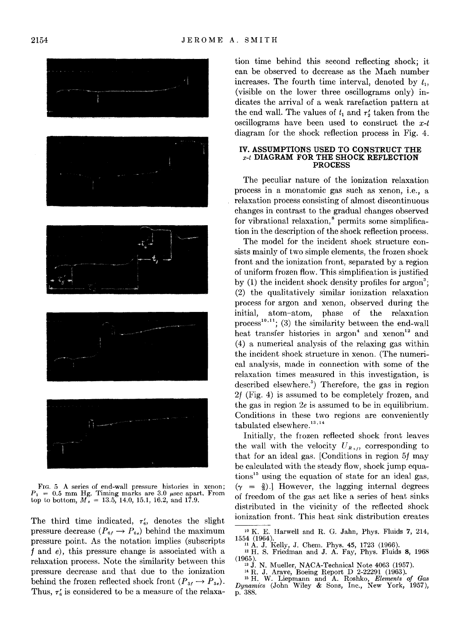

Frg. 5 A series of end-wall pressure histories in xenon;  $P_1 = 0.5$  mm Hg. Timing marks are 3.0 µsec apart. From top to bottom,  $M_s = 13.5$ , 14.0, 15.1, 16.2, and 17.9.

The third time indicated,  $\tau'_{6}$ , denotes the slight pressure decrease  $(P_{6f} \rightarrow P_{6g})$  behind the maximum pressure point. As the notation implies (subscripts f and *e),* this pressure change is associated with a relaxation process. Note the similarity between this pressure decrease and that due to the ionization behind the frozen reflected shock front  $(P_{5f} \rightarrow P_{5e})$ . Thus,  $\tau_6$  is considered to be a measure of the relaxation time behind this second reflecting shock; it can be observed to decrease as the Mach number increases. The fourth time interval, denoted by *t,,*  (visible on the lower three oscillograms only) indicates the arrival of a weak rarefaction pattern at the end wall. The values of  $t_1$  and  $\tau'_2$  taken from the oscillograms have been used to construct the  $x-t$ diagram for the shock reflection process in Fig. 4.

#### **IV. ASSUMPTIONS USED TO CONSTRUCT THE**  *x-t* **DIAGRAM FOR THE SHOCK REFLECTION PROCESS**

The peculiar nature of the ionization relaxation process in a monatomic gas such as xenon, i.e., a relaxation process consisting of almost discontinuous changes in contrast to the gradual changes observed for vibrational relaxation,<sup>8</sup> permits some simplification in the description of the shock reflection process.

The model for the incident shock structure consists mainly of two simple elements, the frozen shock front and the ionization front, separated by a region of uniform frozen flow. This simplification is justified by  $(1)$  the incident shock density profiles for  $\arg \circ n^3$ ; (2) the qualitatively similar ionization relaxation process for argon and xenon, observed during the initial, atom-atom, phase of the relaxation process<sup>10,11</sup>; (3) the similarity between the end-wall heat transfer histories in argon<sup>4</sup> and xenon<sup>12</sup> and (4) a numerical analysis of the relaxing gas within the incident shock structure in xenon. (The numerical analysis, made in connection with some of the relaxation times measured in this investigation, is described elsewhere.<sup>5</sup>) Therefore, the gas in region 2f (Fig. 4) is assumed to be completely frozen, and the gas in region 2e is assumed to be in equilibrium. Conditions in these two regions are conveniently tabulated elsewhere.<sup>13,14</sup>

Initially, the frozen reflected shock front leaves the wall with the velocity  $U_{R_{s,t}}$  corresponding to that for an ideal gas. [Conditions in region 5f may be calculated with the steady flow, shock jump equa $tions<sup>15</sup>$  using the equation of state for an ideal gas,  $(\gamma = \frac{5}{3})$ . However, the lagging internal degrees of freedom of the gas act like a series of heat sinks distributed in the vicinity of the reflected shock ionization front. This heat sink distribution creates

<sup>&</sup>lt;sup>10</sup> K. E. Harwell and R. G. Jahn, Phys. Fluids 7, 214, 1554 (1964).

<sup>1554 (1964). 11</sup> A. J. Kelly, J. Chem. Phys. 45, 1723 (1966 ). 12 H. S. Friedman and J. A. Fay, Phys. Fluids 8, 1968

<sup>(1965). 13</sup> J. N. Mueller, NACA-Technical Note 4063 (1957). 14 R. J. Arave, Boeing Report D 2-22291 (1963). 15 H. W. Liepmann and A. Roshko, *Elements of Gas Dynamics* (John Wiley & Sons, Inc., New York, 1957), p. 388.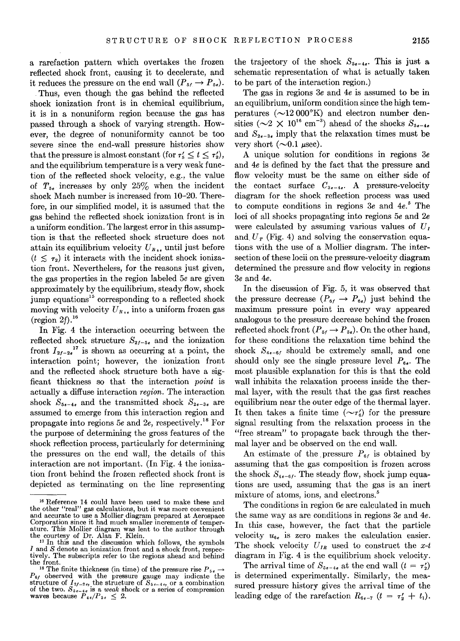a rarefaction pattern which overtakes the frozen reflected shock front, causing it to decelerate, and it reduces the pressure on the end wall  $(P_{5f} \rightarrow P_{5e})$ .

Thus, even though the gas behind the reflected shock ionization front is in chemical equilibrium, it is in a nonuniform region because the gas has passed through a shock of varying strength. However, the degree of nonuniformity cannot be too severe since the end-wall pressure histories show that the pressure is almost constant (for  $\tau'_{\epsilon} \leq t \leq \tau'_{\epsilon}$ ), and the equilibrium temperature is a very weak function of the reflected shock velocity, e.g., the value of  $T_{5e}$  increases by only 25% when the incident shock Mach number is increased from 10-20. Therefore, in our simplified model, it is assumed that the gas behind the reflected shock ionization front is in a uniform condition. The largest error in this assumption is that the reflected shock structure does not attain its equilibrium velocity  $U_R$ . until just before  $(t \leq \tau_2)$  it interacts with the incident shock ionization front. Nevertheless, for the reasons just given, the gas properties in the region labeled *5e* are given approximately by the equilibrium, steady flow, shock jump equations15 corresponding to a reflected shock moving with velocity  $U_{R,s}$  into a uniform frozen gas (region  $2f$ ).<sup>16</sup>

In Fig. 4 the interaction occurring between the reflected shock structure  $S_{2*f*-5*e*}$  and the ionization front  $I_{2f-2e}$ <sup>17</sup> is shown as occurring at a point, the interaction point; however, the ionization front and the reflected shock structure both have a sigficant thickness so that the interaction *point* is actually a diffuse interaction *region.* The interaction shock  $S_{5e-4e}$  and the transmitted shock  $S_{2e-3e}$  are assumed to emerge from this interaction region and propagate into regions *5e* and 2e, respectively. 18 For the purpose of determining the gross features of the shock reflection process, particularly for determining the pressures on the end wall, the details of this interaction are not important. (In Fig. 4 the ionization front behind the frozen reflected shock front is depicted as terminating on the line representing

the trajectory of the shock  $S_{5e-4e}$ . This is just a schematic representation of what is actually taken to be part of the interaction region.)

The gas in regions 3e and *4e* is assumed to be in an equilibrium, uniform condition since the high temperatures  $(\sim]12000\textdegree K)$  and electron number densities ( $\sim$ 2  $\times$  10<sup>16</sup> cm<sup>-3</sup>) ahead of the shocks  $S_{5e-4e}$ and  $S_{2e-3e}$  imply that the relaxation times must be very short  $(\sim 0.1 \mu \text{sec})$ .

A unique solution for conditions in regions 3e and *4e* is defined by the fact that the pressure and flow velocity must be the same on either side of the contact surface  $C_{3e-4e}$ . A pressure-velocity diagram for the shock reflection process was used to compute conditions in regions 3e and *4e.* 5 The loci of all shocks propagating into regions *5e* and 2e were calculated by assuming various values of  $U_I$ and  $U_T$  (Fig. 4) and solving the conservation equations with the use of a Mollier diagram. The intersection of these locii on the pressure-velocity diagram determined the pressure and flow velocity in regions 3e and *4e.* 

In the discussion of Fig. 5, it was observed that the pressure decrease  $(P_{6f} \rightarrow P_{6s})$  just behind the maximum pressure point in every way appeared analogous to the pressure decrease behind the frozen reflected shock front  $(P_{5f} \rightarrow P_{5g})$ . On the other hand, for these conditions the relaxation time behind the shock  $S_{4e-61}$  should be extremely small, and one should only see the single pressure level  $P_{6}$ . The most plausible explanation for this is that the cold wall inhibits the relaxation process inside the thermal layer, with the result that the gas first reaches equilibrium near the outer edge of the thermal layer. It then takes a finite time  $(\sim \tau_s')$  for the pressure signal resulting from the relaxation process in the "free stream" to propagate back through the thermal layer and be observed on the end wall.

An estimate of the pressure  $P_{6f}$  is obtained by assuming that the gas composition is frozen across the shock  $S_{4e-6f}$ . The steady flow, shock jump equations are used, assuming that the gas is an inert mixture of atoms, ions, and electrons.<sup>5</sup>

The conditions in region *6e* are calculated in much the same way as are conditions in regions 3e and *4e.*  In this case, however, the fact that the particle velocity  $u_{6e}$  is zero makes the calculation easier. The shock velocity  $U_{IR}$  used to construct the  $x-t$ diagram in Fig. 4 is the equilibrium shock velocity.

The arrival time of  $S_{5e-4e}$  at the end wall  $(t = \tau_2')$ is determined experimentally. Similarly, the measured pressure history gives the arrival time of the leading edge of the rarefaction  $R_{6e-7}$   $(t = \tau'_2 + t_1)$ .

<sup>16</sup> Reference 14 could have been used to make these and the other "real" gas calculations, but it was more convenient and accurate to use a Mollier diagram prepared at Aerospace Corporation since it had much smaller increments of temperature. This Mollier diagram was lent to the author through the courtesy of Dr. Alan F. Klein. 17 In this and the discussion which follows, the symbols

*I* and *S* denote an ionization front and a shock front, respectively. The subscripts refer to the regions ahead and behind the front.

<sup>&</sup>lt;sup>18</sup> The finite thickness (in time) of the pressure rise  $P_{5e} \rightarrow$  $P_{6f}$  observed with the pressure gauge may indicate the structure of  $I_{2f-2,e}$ , the structure of  $S_{5e-4e}$ , or a combination of the two.  $S_{5e-4e}$  is a *weak* shock or a series of compression waves because  $P_{4e}/P_{5e} \leq 2$ .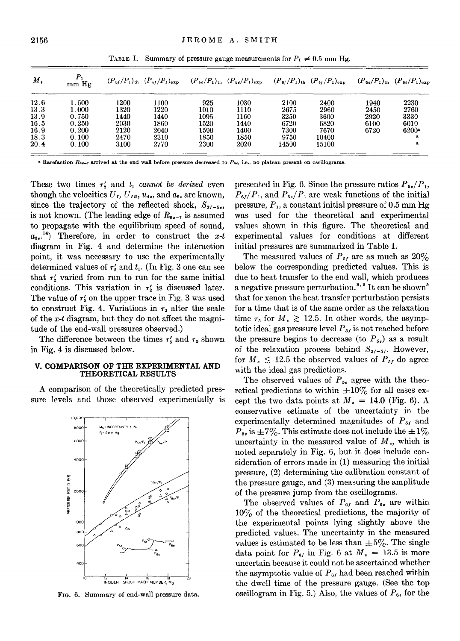| $M_{s}$ | mm Hg     |      | $(P_{5f}/P_1)_{th}$ $(P_{5f}/P_1)_{exp}$ $(P_{5e}/P_1)_{th}$ $(P_{5e}/P_1)_{exp}$ $(P_{6f}/P_1)_{th}$ $(P_{6f}/P_1)_{exp}$ $(P_{6e}/P_1)_{th}$ $(P_{6e}/P_1)_{exp}$ |      |      |       |       |      |         |
|---------|-----------|------|---------------------------------------------------------------------------------------------------------------------------------------------------------------------|------|------|-------|-------|------|---------|
| 12.6    | 1.500     | 1200 | 1100                                                                                                                                                                | 925  | 1030 | 2100  | 2400  | 1940 | 2230    |
| 13.3    | $1.000\,$ | 1320 | 1220                                                                                                                                                                | 1010 | 1110 | 2675  | 2960  | 2450 | 2760    |
| 13.9    | 0.750     | 1440 | 1440                                                                                                                                                                | 1095 | 1160 | 3250  | 3600  | 2920 | 3330    |
| 16.5    | 0.250     | 2030 | 1860                                                                                                                                                                | 1520 | 1440 | 6720  | 6820  | 6100 | 6010    |
| 16.9    | 0.200     | 2120 | 2040                                                                                                                                                                | 1590 | 1400 | 7300  | 7670  | 6720 | $6200*$ |
| 18.3    | 0.100     | 2470 | 2310                                                                                                                                                                | 1850 | 1850 | 9750  | 10400 |      | a       |
| 20.4    | 0.100     | 3100 | 2770                                                                                                                                                                | 2300 | 2020 | 14500 | 15100 |      | a       |

TABLE I. Summary of pressure gauge measurements for  $P_1 \neq 0.5$  mm Hg.

**a Rarefaction R6e-7 arrived at the end wall before pressure decreased to** *P6e,* **i.e., no plateau present on oscillograms.** 

These two times  $\tau'_{2}$  and  $t_{1}$  *cannot be derived* even though the velocities  $U_I$ ,  $U_{I_R}$ ,  $u_{4e}$ , and  $a_{6e}$  are known, since the trajectory of the reflected shock,  $S_{2f-5t}$ . is not known. (The leading edge of  $R_{6e-7}$  is assumed to propagate with the equilibrium speed of sound,  $a_{6s}$ <sup>14</sup>) Therefore, in order to construct the  $x-t$ diagram in Fig. 4 and determine the interaction point, it was necessary to use the experimentally determined values of  $\tau'_{2}$  and  $t_{1}$ . (In Fig. 3 one can see that  $\tau'_{2}$  varied from run to run for the same initial conditions. This variation in  $\tau'_{2}$  is discussed later. The value of  $\tau'$  on the upper trace in Fig. 3 was used to construct Fig. 4. Variations in  $\tau_2$  alter the scale of the *x-t* diagram, but they do not affect the magnitude of the end-wall pressures observed.)

The difference between the times  $\tau'_{5}$  and  $\tau_{5}$  shown in Fig. 4 is discussed below.

# **V. COMPARISON OF THE EXPERIMENTAL AND THEORETICAL** RESULTS

A comparison of the theoretically predicted pressure levels and those observed experimentally is



FIG. 6. Summary of end-wall pressure data.

presented in Fig. 6. Since the pressure ratios  $P_{5e}/P_1$ ,  $P_{\text{6f}}/P_1$ , and  $P_{\text{6e}}/P_1$  are weak functions of the initial pressure,  $P_1$ , a constant initial pressure of 0.5 mm Hg was used for the theoretical and experimental values shown in this figure. The theoretical and experimental values for conditions at different initial pressures are summarized in Table I.

The measured values of  $P_{5f}$  are as much as  $20\%$ below the corresponding predicted values. This is due to heat transfer to the end wall, which produces a negative pressure perturbation.<sup>8,9</sup> It can be shown<sup>5</sup> that for xenon the heat transfer perturbation persists for a time that is of the same order as the relaxation time  $\tau_5$  for  $M_* \geq 12.5$ . In other words, the asymptotic ideal gas pressure level  $P_{51}$  is not reached before the pressure begins to decrease (to  $P_{5e}$ ) as a result of the relaxation process behind  $S_{2f-5f}$ . However, for  $M_* \leq 12.5$  the observed values of  $P_{5f}$  do agree with the ideal gas predictions.

The observed values of  $P_{5e}$  agree with the theoretical predictions to within  $\pm 10\%$  for all cases except the two data points at  $M_* = 14.0$  (Fig. 6). A conservative estimate of the uncertainty in the experimentally determined magnitudes of  $P_{5f}$  and  $P_{56}$  is  $\pm 7\%$ . This estimate does not include the  $\pm 1\%$ uncertainty in the measured value of  $M<sub>s</sub>$ , which is noted separately in Fig. 6, but it does include consideration of errors made in (1) measuring the initial pressure, (2) determining the calibration constant of the pressure gauge, and (3) measuring the amplitude of the pressure jump from the oscillograms.

The observed values of  $P_{6f}$  and  $P_{6e}$  are within  $10\%$  of the theoretical predictions, the majority of the experimental points lying slightly above the predicted values. The uncertainty in the measured values is estimated to be less than  $\pm 5\%$ . The single data point for  $P_{61}$  in Fig. 6 at  $M_s = 13.5$  is more uncertain because it could not be ascertained whether the asymptotic value of  $P_{\alpha}$  had been reached within the dwell time of the pressure gauge. (See the top oscillogram in Fig. 5.) Also, the values of  $P_{\theta_{\ell}}$  for the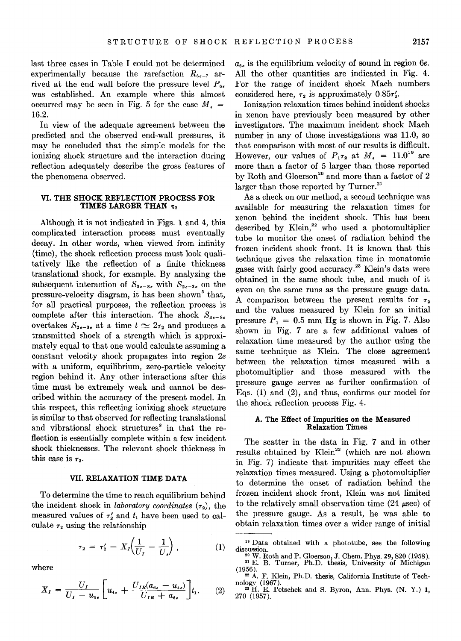last three cases in Table I could not be determined experimentally because the rarefaction  $R_{6e-7}$  arrived at the end wall before the pressure level  $P_{66}$ was established. An example where this almost occurred may be seen in Fig. 5 for the case  $M<sub>s</sub>$  = 16.2.

In view of the adequate agreement between the predicted and the observed end-wall pressures, it may be concluded that the simple models for the ionizing shock structure and the interaction during reflection adequately describe the gross features of the phenomena observed.

# VI. THE SHOCK REFLECTION PROCESS FOR TIMES LARGER THAN  $\tau$

Although it is not indicated in Figs. 1 and 4, this complicated interaction process must eventually decay. In other words, when viewed from infinity (time), the shock reflection process must look qualitatively like the reflection of a finite thickness translational shock, for example. By analyzing the subsequent interaction of  $S_{3s-8s}$  with  $S_{2s-3s}$  on the pressure-velocity diagram, it has been shown<sup>5</sup> that, for all practical purposes, the reflection process is complete after this interaction. The shock  $S_{3s-8s}$ overtakes  $S_{2e-3e}$  at a time  $t \approx 2\tau_2$  and produces a transmitted shock of a strength which is approximately equal to that one would calculate assuming a constant velocity shock propagates into region 2e with a uniform, equilibrium, zero-particle velocity region behind it. Any other interactions after this time must be extremely weak and cannot be described within the accuracy of the present model. In this respect, this reflecting ionizing shock structure is similar to that observed for reflecting translational and vibrational shock structures<sup>8</sup> in that the reflection is essentially complete within a few incident shock thicknesses. The relevant shock thickness in this case is  $\tau_2$ .

## VII. RELAXATION TIME DATA

To determine the time to reach equilibrium behind the incident shock in *laboratory coordinates*  $(\tau_2)$ , the measured values of  $\tau'_{2}$  and  $t_{1}$  have been used to calculate  $\tau_2$  using the relationship

$$
\tau_2 = \tau_2' - X_I \left( \frac{1}{U_I} - \frac{1}{U_s} \right), \tag{1}
$$

where

$$
X_{I} = \frac{U_{I}}{U_{I} - u_{4e}} \left[ u_{4e} + \frac{U_{IR}(a_{6e} - u_{4e})}{U_{IR} + a_{6e}} \right] t_{1}.
$$
 (2)

*a6•* is the equilibrium velocity of sound in region *6e.*  All the other quantities are indicated in Fig. 4. For the range of incident shock Mach numbers considered here,  $\tau_2$  is approximately 0.85 $\tau$ .

Ionization relaxation times behind incident shocks in xenon have previously been measured by other investigators. The maximum incident shock Mach number in any of those investigations was 11.0, so that comparison with most of our results is difficult. However, our values of  $P_{1}\tau_{2}$  at  $M_{*} = 11.0^{19}$  are more than a factor of 5 larger than those reported by Roth and Gloerson<sup>20</sup> and more than a factor of 2 larger than those reported by Turner.<sup>21</sup>

As a check on our method, a second technique was available for measuring the relaxation times for xenon behind the incident shock. This has been described by Klein, $2^2$  who used a photomultiplier tube to monitor the onset of radiation behind the frozen incident shock front. It is known that this technique gives the relaxation time in monatomic gases with fairly good accuracy. 23 Klein's data were obtained in the same shock tube, and much of it even on the same runs as the pressure gauge data. A comparison between the present results for  $\tau_2$ and the values measured by Klein for an initial pressure  $P_1 = 0.5$  mm Hg is shown in Fig. 7. Also shown in Fig. 7 are a few additional values of relaxation time measured by the author using the same technique as Klein. The close agreement between the relaxation times measured with a photomultiplier and those measured with the pressure gauge serves as further confirmation of Eqs. (1) and (2), and thus, confirms our model for the shock reflection process Fig. 4.

# A. The Effect of Impurities on the Measured Relaxation Times

The scatter in the data in Fig. 7 and in other results obtained by Klein<sup>22</sup> (which are not shown in Fig. 7) indicate that impurities may effect the relaxation times measured. Using a photomultiplier to determine the onset of radiation behind the frozen incident shock front, Klein was not limited to the relatively small observation time  $(24 \mu \text{sec})$  of the pressure gauge. As a result, he was able to obtain relaxation times over a wider range of initial

<sup>&</sup>lt;sup>19</sup> Data obtained with a phototube, see the following discussion.

 $\frac{20 \text{ W}}{21 \text{ E}}$ . Roth and P. Gloerson, J. Chem. Phys. 29, 820 (1958).<br>
<sup>21</sup> E. B. Turner, Ph.D. thesis, University of Michigan (1956).<br>
<sup>22</sup> A. F. Klein, Ph.D. thesis, California Institute of Tech-

nology (1967).<br><sup>23</sup> H. E. Petschek and S. Byron, Ann. Phys. (N. Y.) 1,

<sup>270 (1957).</sup>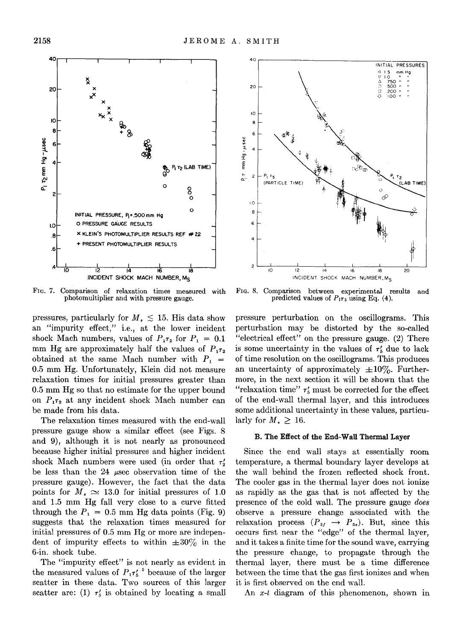FIG. 7. Comparison of relaxation times measured with photomultiplier and with pressure gauge.

pressures, particularly for  $M_* \lesssim 15$ . His data show an "impurity effect," i.e., at the lower incident shock Mach numbers, values of  $P_1\tau_2$  for  $P_1 = 0.1$ mm Hg are approximately half the values of  $P_{172}$ obtained at the same Mach number with  $P_1$  = 0.5 mm Hg. Unfortunately, Klein did not measure relaxation times for initial pressures greater than 0.5 mm Hg so that no estimate for the upper bound on  $P_{1}\tau_2$  at any incident shock Mach number can be made from his data.

The relaxation times measured with the end-wall pressure gauge show a similar effect (see Figs. 8 and 9), although it is not nearly as pronounced because higher initial pressures and higher incident shock Mach numbers were used (in order that  $\tau'$ be less than the 24  $\mu$ sec observation time of the pressure gauge). However, the fact that the data points for  $M_* \simeq 13.0$  for initial pressures of 1.0 and 1.5 mm Hg fall very close to a curve fitted through the  $P_1=0.5$  mm Hg data points (Fig. 9) suggests that the relaxation times measured for initial pressures of 0.5 mm Hg or more are independent of impurity effects to within  $\pm 30\%$  in the 6-in. shock tube.

The "impurity effect" is not nearly as evident in the measured values of  $P_1 \tau'_5$ <sup>5</sup> because of the larger scatter in these data. Two sources of this larger scatter are: (1)  $\tau'_{5}$  is obtained by locating a small

FIG. 8. Comparison between experimental results and predicted values of  $P_{175}$  using Eq. (4).

pressure perturbation on the oscillograms. This perturbation may be distorted by the so-called "electrical effect" on the pressure gauge. (2) There is some uncertainty in the values of  $\tau'_{\rm s}$  due to lack of time resolution on the oscillograms. This produces an uncertainty of approximately  $\pm 10\%$ . Furthermore, in the next section it will be shown that the "relaxation time"  $\tau'_{5}$  must be corrected for the effect of the end-wall thermal layer, and this introduces some additional uncertainty in these values, particularly for  $M_{\star} > 16$ .

# B. The Effect of the End-Wall Thermal Layer

Since the end wall stays at essentially room temperature, a thermal boundary layer develops at the wall behind the frozen reflected shock front. The cooler gas in the thermal layer does not ionize as rapidly as the gas that is not affected by the presence of the cold wall. The pressure gauge *does*  observe a pressure change associated with the relaxation process  $(P_{51} \rightarrow P_{5})$ . But, since this occurs first near the "edge" of the thermal layer, and it takes a finite time for the sound wave, carrying the pressure change, to propagate through the thermal layer, there must be a time difference between the time that the gas first ionizes and when it is first observed on the end wall.

An x-t diagram of this phenomenon, shown in



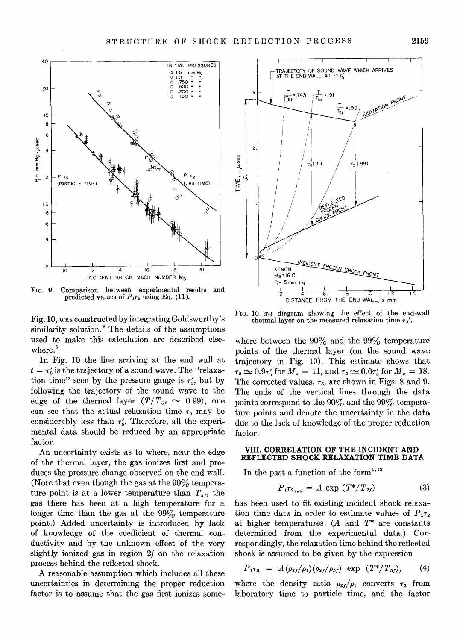

FIG. 9. Comparison between experimental results and predicted values of  $P_{175}$  using Eq. (11).

Fig. 10, was constructed by integrating Goldsworthy's similarity solution.<sup>9</sup> The details of the assumptions used to make this calculation are described elsewhere.<sup>5</sup>

In Fig. 10 the line arriving at the end wall at  $t = \tau_5'$  is the trajectory of a sound wave. The "relaxation time" seen by the pressure gauge is  $\tau'_{5}$ , but by following the trajectory of the sound wave to the edge of the thermal layer  $(T/T_{51} \simeq 0.99)$ , one can see that the actual relaxation time  $\tau_5$  may be considerably less than  $\tau_{5}'$ . Therefore, all the experimental data should be reduced by an appropriate factor.

An uncertainty exists as to where, near the edge of the thermal layer, the gas ionizes first and produces the pressure change observed on the end wall. (Note that even though the gas at the  $90\%$  temperature point is at a lower temperature than  $T_{5i}$ , the gas there has been at a high temperature for a longer time than the gas at the  $99\%$  temperature point.) Added uncertainty is introduced by lack of knowledge of the coefficient of thermal conductivity and by the unknown effect of the very slightly ionized gas in region 2f on the relaxation process behind the reflected shock.

A reasonable assumption which includes all these uncertainties in determining the proper reduction factor is to assume that the gas first ionizes some-



FIG. 10. *x-t* diagram showing the effect of the end-wall thermal layer on the measured relaxation time  $\tau_{5}'$ .

where between the  $90\%$  and the  $99\%$  temperature points of the thermal layer (on the sound wave trajectory in Fig. 10). This estimate shows that  $\tau_5 \simeq 0.9 \tau_5'$  for  $M_s = 11$ , and  $\tau_5 \simeq 0.6 \tau_5'$  for  $M_s = 18$ . The corrected values,  $\tau_5$ , are shown in Figs. 8 and 9. The ends of the vertical lines through the data points correspond to the  $90\%$  and the  $99\%$  temperature points and denote the uncertainty in the data due to the lack of knowledge of the proper reduction factor.

# **VIII. CORRELATION OF THE INCIDENT AND REFLECTED SHOCK RELAXATION TIME DATA**

In the past a function of the form<sup>4,12</sup>

$$
P_{1}\tau_{2_{1ab}} = A \exp (T^{*}/T_{2f})
$$
 (3)

has been used to fit existing incident shock relaxation time data in order to estimate values of  $P_{1}T_{2}$ at higher temperatures. (A and *T\** are constants determined from the experimental data.) Correspondingly, the relaxation time behind the reflected shock is assumed to be given by the expression

$$
P_{1}\tau_{5} = A(\rho_{2f}/\rho_{1})(\rho_{2f}/\rho_{5f}) \exp(T^{*}/T_{5f}), \qquad (4)
$$

where the density ratio  $\rho_{21}/\rho_1$  converts  $\tau_2$  from laboratory time to particle time, and the factor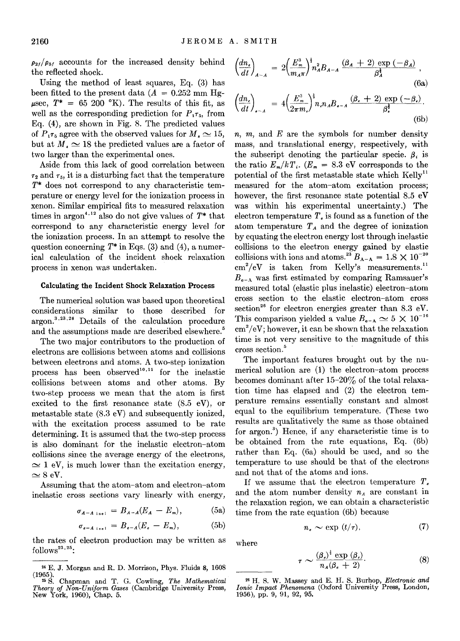$p_{21}/p_{51}$  accounts for the increased density behind the reflected shock.

Using the method of least squares, Eq. (3) has been fitted to the present data ( $A = 0.252$  mm Hg- $\mu$ sec,  $T^* = 65$  200 °K). The results of this fit, as well as the corresponding prediction for  $P_1 \tau_5$ , from Eq. (4), are shown in Fig. 8. The predicted values of  $P_{1}\tau_5$  agree with the observed values for  $M_{\star} \simeq 15$ , but at  $M_* \simeq 18$  the predicted values are a factor of two larger than the experimental ones.

Aside from this lack of good correlation between  $\tau_2$  and  $\tau_5$ , it is a disturbing fact that the temperature *T\** does not correspond to any characteristic temperature or energy level for the ionization process in xenon. Similar empirical fits to measured relaxation times in argon<sup>4,12</sup> also do not give values of  $T^*$  that correspond to any characteristic energy level for the ionization process. In an attempt to resolve the question concerning *T\** in Eqs. (3) and (4), a numerical calculation of the incident shock relaxation process in xenon was undertaken.

# **Calculating the Incident Shock Relaxation Process**

The numerical solution was based upon theoretical considerations similar to those described for argon.<sup>3,23,24</sup> Details of the calculation procedure and the assumptions made are described elsewhere.<sup>5</sup>

The two major contributors to the production of electrons are collisions between atoms and collisions between electrons and atoms. A two-step ionization process has been observed<sup>10,11</sup> for the inelastic collisions between atoms and other atoms. By two-step process we mean that the atom is first excited to the first resonance state (8.5 eV), or metastable state (8.3 eV) and subsequently ionized, with the excitation process assumed to be rate determining. It is assumed that the two-step process is also dominant for the inelastic electron-atom collisions since the average energy of the electrons,  $\simeq$  1 eV, is much lower than the excitation energy,  $\simeq$  8 eV.

Assuming that the atom-atom and electron-atom inelastic cross sections vary linearly with energy,

$$
\sigma_{A-A \text{ inel}} = B_{A-A}(E_A - E_m), \tag{5a}
$$

$$
\sigma_{e-A \text{ in } \mathfrak{m}} = B_{e-A}(E_e - E_m), \tag{5b}
$$

the rates of electron production may be written as  $follows<sup>23,25</sup>$ :

$$
\left(\frac{dn_{\epsilon}}{dt}\right)_{A-A} = 2\left(\frac{E_m^3}{m_A\pi}\right)^{\frac{1}{2}} n_A^2 B_{A-A} \xrightarrow{\left(\beta_A + 2\right)} \frac{\exp\left(-\beta_A\right)}{\beta_A^{\frac{3}{2}}} \tag{6a}
$$

$$
\left(\frac{dn_{\epsilon}}{dt}\right)_{\epsilon-A} = 4\left(\frac{E_m^3}{2\pi m_{\epsilon}}\right)^{\frac{1}{2}} n_{\epsilon} n_A B_{\epsilon-A} \frac{(\beta_{\epsilon}+2) \exp(-\beta_{\epsilon})}{\beta_{\epsilon}^{\frac{1}{2}}}.
$$
\n(6b)

*n, m,* and *E* are the symbols for number density mass, and translational energy, respectively, with the subscript denoting the particular specie.  $\beta$ , is the ratio  $E_m/kT_i$ .  $(E_m = 8.3 \text{ eV}$  corresponds to the potential of the first metastable state which  $Kellv^{11}$ measured for the atom-atom excitation process; however, the first resonance state potential 8.5 eV was within his experimental uncertainty.) The electron temperature  $T<sub>e</sub>$  is found as a function of the atom temperature  $T_A$  and the degree of ionization by equating the electron energy lost through inelastic collisions to the electron energy gained by elastic collisions with ions and atoms.<sup>23</sup>  $B_{A-A} = 1.8 \times 10^{-20}$  $\text{cm}^2/\text{eV}$  is taken from Kelly's measurements.<sup>11</sup>  $B_{e-A}$  was first estimated by comparing Ramsauer's measured total (elastic plus inelastic) electron-atom cross section to the elastic electron-atom cross section<sup>26</sup> for electron energies greater than 8.3 eV. This comparison yielded a value  $B_{\epsilon A} \simeq 5 \times 10^{-16}$  $\text{cm}^2/\text{eV}$ ; however, it can be shown that the relaxation time is not very sensitive to the magnitude of this cross section. 5

The important features brought out by the numerical solution are **(1)** the electron-atom process becomes dominant after  $15-20\%$  of the total relaxation time has elapsed and (2) the electron temperature remains essentially constant and almost equal to the equilibrium temperature. (These two results are qualitatively the same as those obtained for argon.<sup>3</sup> ) Hence, if any characteristic time is to be obtained from the rate equations, Eq. (6b) rather than Eq. (6a) should be used, and so the temperature to use should be that of the electrons and not that of the atoms and ions.

If we assume that the electron temperature  $T<sub>e</sub>$ and the atom number density  $n_A$  are constant in the relaxation region, we can obtain a characteristic time from the rate equation (6b) because

$$
n_e \sim \exp\ (t/\tau),\tag{7}
$$

where

$$
\sim \frac{(\beta_{\epsilon})^{\frac{3}{2}} \exp\left(\beta_{\epsilon}\right)}{n_{\mathcal{A}}(\beta_{\epsilon}+2)}.\tag{8}
$$

 $\tau$ 

<sup>24</sup> E. **J.** Morgan and R. D. Morrison, Phys. Fluids 8, 1608

<sup>(1965 ). 2•</sup> S. Chapman and T. G. Cowling, *The Mathematical Theory of Non-Uniform Gases* (Cambridge University Press, New York, 1960), Chap. 5.

<sup>2•</sup> H. S. W. Massey and E. H. S. Burhop, *Electronic and Ionic Impact Phenomena* (Oxford University Press, London, 1956), pp. 9, 91, 92, 95.